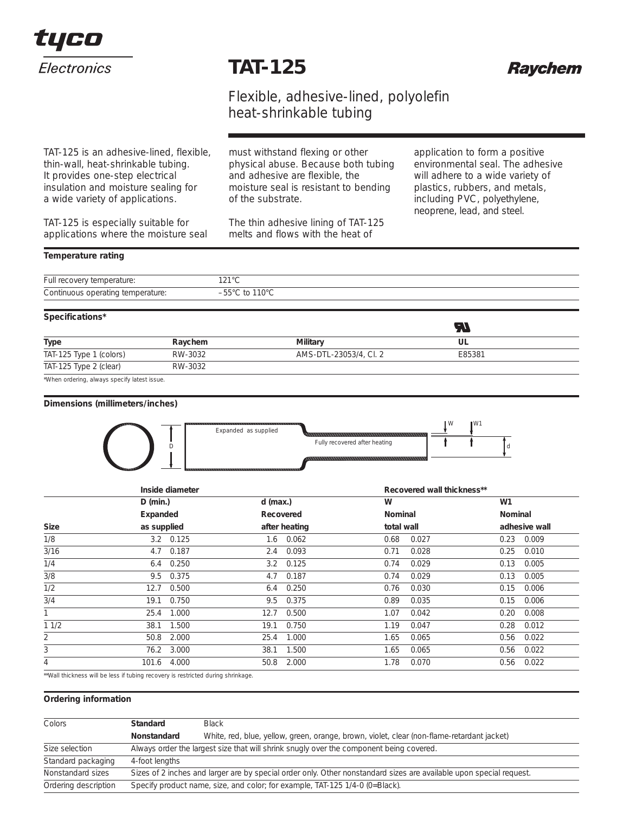

## **TAT-125**



### Flexible, adhesive-lined, polyolefin heat-shrinkable tubing

TAT-125 is an adhesive-lined, flexible, thin-wall, heat-shrinkable tubing. It provides one-step electrical insulation and moisture sealing for a wide variety of applications.

TAT-125 is especially suitable for applications where the moisture seal must withstand flexing or other physical abuse. Because both tubing and adhesive are flexible, the moisture seal is resistant to bending of the substrate.

The thin adhesive lining of TAT-125 melts and flows with the heat of

application to form a positive environmental seal. The adhesive will adhere to a wide variety of plastics, rubbers, and metals, including PVC, polyethylene, neoprene, lead, and steel.

#### *Temperature rating*

| Full re<br>≅erature:<br>over<br>$\Box$<br>. | 0.100<br>$\overline{\phantom{0}}$<br>▏∠▏▏ |
|---------------------------------------------|-------------------------------------------|
| Continuous                                  | $\sim$                                    |
| operating                                   | -                                         |
| hperature:                                  | .                                         |

#### *Specifications\**

| <i><b>JPCUNCANONS</b></i> |         |                        | œ      |  |
|---------------------------|---------|------------------------|--------|--|
| <b>Type</b>               | Raychem | <b>Military</b>        | UL     |  |
| TAT-125 Type 1 (colors)   | RW-3032 | AMS-DTL-23053/4, Cl. 2 | E85381 |  |
| TAT-125 Type 2 (clear)    | RW-3032 |                        |        |  |

\*When ordering, always specify latest issue.

#### *Dimensions (***millimeters***/inches)*



|             | Inside diameter                                                                                                |                   |            | Recovered wall thickness** |            |       |                |               |
|-------------|----------------------------------------------------------------------------------------------------------------|-------------------|------------|----------------------------|------------|-------|----------------|---------------|
|             | $D$ (min.)                                                                                                     |                   | $d$ (max.) |                            | W          |       | W <sub>1</sub> |               |
|             | Expanded                                                                                                       |                   |            | Recovered                  | Nominal    |       | Nominal        |               |
| <b>Size</b> | as supplied                                                                                                    |                   |            | after heating              | total wall |       |                | adhesive wall |
| 1/8         |                                                                                                                | $3.2 \quad 0.125$ |            | $1.6$ $0.062$              | 0.68       | 0.027 | 0.23           | 0.009         |
| 3/16        | 4.7                                                                                                            | 0.187             | 2.4        | 0.093                      | 0.71       | 0.028 | 0.25           | 0.010         |
| 1/4         | 6.4                                                                                                            | 0.250             | 3.2        | 0.125                      | 0.74       | 0.029 | 0.13           | 0.005         |
| 3/8         | 9.5                                                                                                            | 0.375             | 4.7        | 0.187                      | 0.74       | 0.029 | 0.13           | 0.005         |
| 1/2         | 12.7                                                                                                           | 0.500             | 6.4        | 0.250                      | 0.76       | 0.030 | 0.15           | 0.006         |
| 3/4         | 19.1                                                                                                           | 0.750             | 9.5        | 0.375                      | 0.89       | 0.035 | 0.15           | 0.006         |
|             | 25.4                                                                                                           | 1.000             | 12.7       | 0.500                      | 1.07       | 0.042 | 0.20           | 0.008         |
| 11/2        | 38.1                                                                                                           | 1.500             | 19.1       | 0.750                      | 1.19       | 0.047 | 0.28           | 0.012         |
| 2           | 50.8                                                                                                           | 2.000             | 25.4       | 1.000                      | 1.65       | 0.065 | 0.56           | 0.022         |
| 3           |                                                                                                                | 76.2 3.000        | 38.1       | 1.500                      | 1.65       | 0.065 | 0.56           | 0.022         |
| 4           | 101.6                                                                                                          | 4.000             | 50.8       | 2.000                      | 1.78       | 0.070 | 0.56           | 0.022         |
|             | WANTER ALTERNATIVE CONTRACT TO CHARGE TO ACTUAL ACCESSIVE ACTIVITIES OF ALTERNATIVE CONTRACT CONTRACT CONTRACT |                   |            |                            |            |       |                |               |

'Wall thickness will be less if tubing recovery is restricted during shrinkage.

#### *Ordering information*

| <b>Colors</b>        | Standard<br><b>Black</b>                                                                                            |                                                                                            |  |
|----------------------|---------------------------------------------------------------------------------------------------------------------|--------------------------------------------------------------------------------------------|--|
|                      | Nonstandard                                                                                                         | White, red, blue, yellow, green, orange, brown, violet, clear (non-flame-retardant jacket) |  |
| Size selection       | Always order the largest size that will shrink snugly over the component being covered.                             |                                                                                            |  |
| Standard packaging   | 4-foot lengths                                                                                                      |                                                                                            |  |
| Nonstandard sizes    | Sizes of 2 inches and larger are by special order only. Other nonstandard sizes are available upon special request. |                                                                                            |  |
| Ordering description | Specify product name, size, and color; for example, TAT-125 1/4-0 (0=Black).                                        |                                                                                            |  |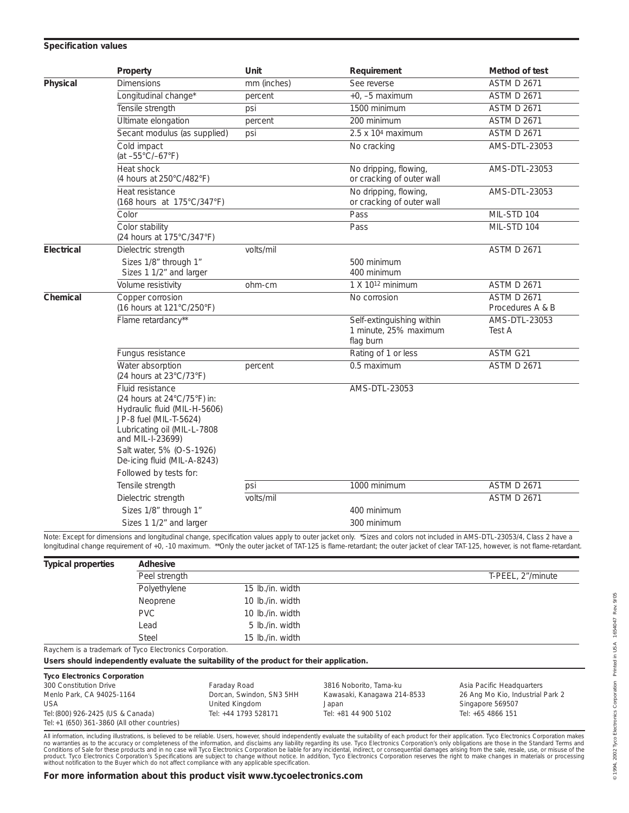#### *Specification values*

|            | Property                                                                                                                                                                                                                 | Unit        | Requirement                                                     | Method of test                         |
|------------|--------------------------------------------------------------------------------------------------------------------------------------------------------------------------------------------------------------------------|-------------|-----------------------------------------------------------------|----------------------------------------|
| Physical   | <b>Dimensions</b>                                                                                                                                                                                                        | mm (inches) | See reverse                                                     | <b>ASTM D 2671</b>                     |
|            | Longitudinal change*                                                                                                                                                                                                     | percent     | $+0. -5$ maximum                                                | <b>ASTM D 2671</b>                     |
|            | Tensile strength                                                                                                                                                                                                         | psi         | 1500 minimum                                                    | <b>ASTM D 2671</b>                     |
|            | Ultimate elongation                                                                                                                                                                                                      | percent     | 200 minimum                                                     | <b>ASTM D 2671</b>                     |
|            | Secant modulus (as supplied)                                                                                                                                                                                             | psi         | $2.5 \times 10^4$ maximum                                       | <b>ASTM D 2671</b>                     |
|            | Cold impact<br>(at -55°C/-67°F)                                                                                                                                                                                          |             | No cracking                                                     | AMS-DTL-23053                          |
|            | Heat shock<br>(4 hours at 250°C/482°F)                                                                                                                                                                                   |             | No dripping, flowing,<br>or cracking of outer wall              | AMS-DTL-23053                          |
|            | Heat resistance<br>(168 hours at 175°C/347°F)                                                                                                                                                                            |             | No dripping, flowing,<br>or cracking of outer wall              | AMS-DTL-23053                          |
|            | Color                                                                                                                                                                                                                    |             | Pass                                                            | MIL-STD 104                            |
|            | Color stability<br>(24 hours at 175°C/347°F)                                                                                                                                                                             |             | Pass                                                            | MIL-STD 104                            |
| Electrical | Dielectric strength                                                                                                                                                                                                      | volts/mil   |                                                                 | <b>ASTM D 2671</b>                     |
|            | Sizes 1/8" through 1"<br>Sizes 1 1/2" and larger                                                                                                                                                                         |             | 500 minimum<br>400 minimum                                      |                                        |
|            | Volume resistivity                                                                                                                                                                                                       | ohm-cm      | $1 X 1012$ minimum                                              | <b>ASTM D 2671</b>                     |
| Chemical   | Copper corrosion<br>(16 hours at 121°C/250°F)                                                                                                                                                                            |             | No corrosion                                                    | <b>ASTM D 2671</b><br>Procedures A & B |
|            | Flame retardancy**                                                                                                                                                                                                       |             | Self-extinguishing within<br>1 minute, 25% maximum<br>flag burn | AMS-DTL-23053<br>Test A                |
|            | Fungus resistance                                                                                                                                                                                                        |             | Rating of 1 or less                                             | ASTM G21                               |
|            | Water absorption<br>(24 hours at 23°C/73°F)                                                                                                                                                                              | percent     | 0.5 maximum                                                     | <b>ASTM D 2671</b>                     |
|            | Fluid resistance<br>(24 hours at 24°C/75°F) in:<br>Hydraulic fluid (MIL-H-5606)<br>JP-8 fuel (MIL-T-5624)<br>Lubricating oil (MIL-L-7808<br>and MIL-I-23699)<br>Salt water, 5% (O-S-1926)<br>De-icing fluid (MIL-A-8243) |             | AMS-DTL-23053                                                   |                                        |
|            | Followed by tests for:                                                                                                                                                                                                   |             |                                                                 |                                        |
|            | Tensile strength                                                                                                                                                                                                         | psi         | 1000 minimum                                                    | <b>ASTM D 2671</b>                     |
|            | Dielectric strength                                                                                                                                                                                                      | volts/mil   |                                                                 | <b>ASTM D 2671</b>                     |
|            | Sizes 1/8" through 1"                                                                                                                                                                                                    |             | 400 minimum                                                     |                                        |
|            | Sizes 1 1/2" and larger                                                                                                                                                                                                  |             | 300 minimum                                                     |                                        |

Note: Except for dimensions and longitudinal change, specification values apply to outer jacket only. \*Sizes and colors not included in AMS-DTL-23053/4, Class 2 have a longitudinal change requirement of +0, -10 maximum. \*\*Only the outer jacket of TAT-125 is flame-retardant; the outer jacket of clear TAT-125, however, is not flame-retardant.

| Adhesive      |                  |                                                         |  |  |
|---------------|------------------|---------------------------------------------------------|--|--|
| Peel strength |                  | T-PEEL, 2"/minute                                       |  |  |
| Polyethylene  | 15 lb./in. width |                                                         |  |  |
| Neoprene      | 10 lb./in. width |                                                         |  |  |
| <b>PVC</b>    | 10 lb./in. width |                                                         |  |  |
| Lead          | 5 lb./in. width  |                                                         |  |  |
| <b>Steel</b>  | 15 lb./in. width |                                                         |  |  |
|               |                  |                                                         |  |  |
|               |                  | Raychem is a trademark of Tyco Electronics Corporation. |  |  |

*Users should independently evaluate the suitability of the product for their application.*

**Tyco Electronics Corporation** 300 Constitution Drive **Faraday Road** 3816 Noborito, Tama-ku Asia Pacific Headquarters<br>126 Ang Mo Kio, Industrial Menlo Park, CA 94025-1164 **Dorcan, Swindon, SN3 5HH** Kawasaki, Kanagawa 214-8533 26 Ang Mo Kio, Industrial Park 2<br>USA Singapore 569507 Tel: (800) 926-2425 (US & Canada) Tel:+1 (650) 361-3860 (All other countries)

USA United Kingdom Japan Singapore 569507

All information, including illustrations, is believed to be reliable. Users, however, should independently evaluate the suitability of each product for their application. Tyco Electronics Corporation makes<br>no warranties as *without notification to the Buyer which do not affect compliance with any applicable specification.*

Rev. 9/05